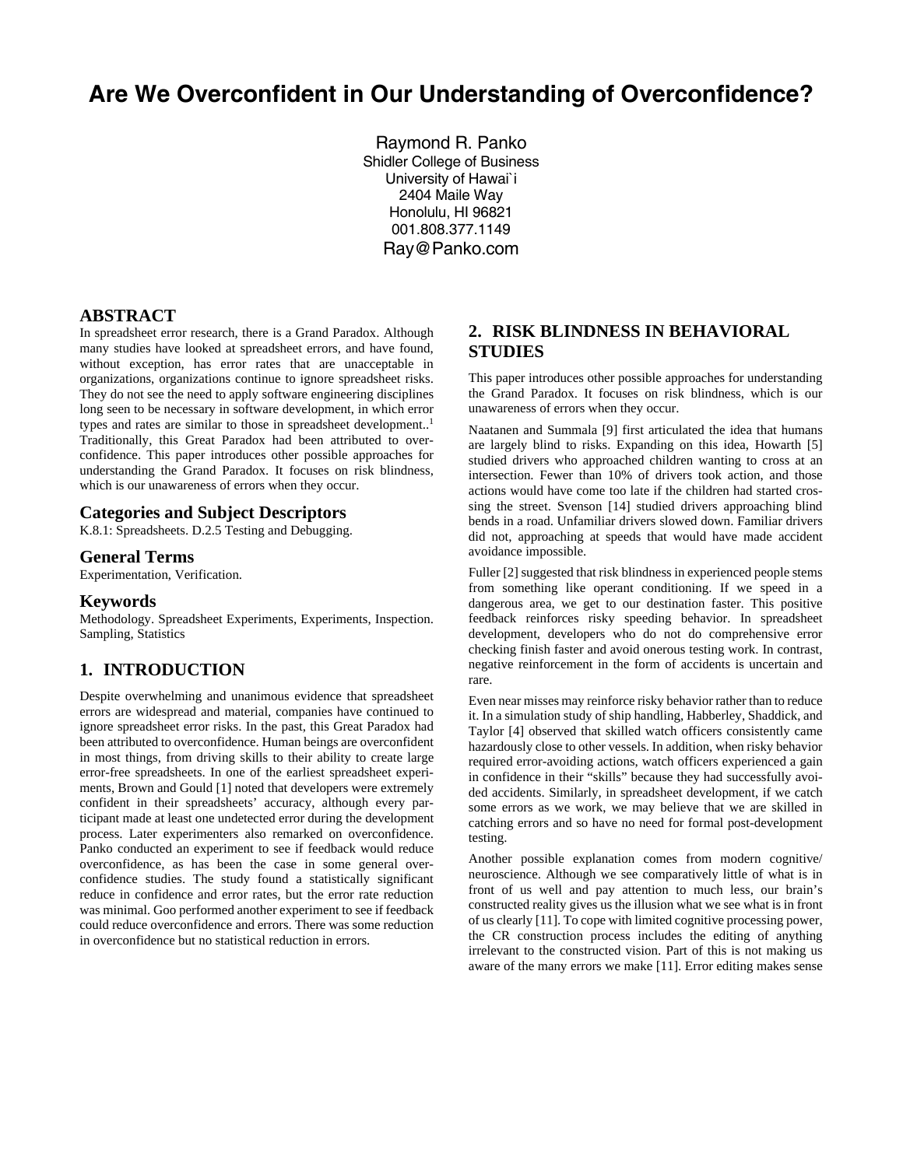# **Are We Overconfident in Our Understanding of Overconfidence?**

Raymond R. Panko Shidler College of Business University of Hawai`i 2404 Maile Way Honolulu, HI 96821 001.808.377.1149 Ray@Panko.com

## **ABSTRACT**

In spreadsheet error research, there is a Grand Paradox. Although many studies have looked at spreadsheet errors, and have found, without exception, has error rates that are unacceptable in organizations, organizations continue to ignore spreadsheet risks. They do not see the need to apply software engineering disciplines long seen to be necessary in software development, in which error types and rates are similar to those in spreadsheet development..<sup>1</sup> Traditionally, this Great Paradox had been attributed to overconfidence. This paper introduces other possible approaches for understanding the Grand Paradox. It focuses on risk blindness, which is our unawareness of errors when they occur.

#### **Categories and Subject Descriptors**

K.8.1: Spreadsheets. D.2.5 Testing and Debugging.

## **General Terms**

Experimentation, Verification.

#### **Keywords**

Methodology. Spreadsheet Experiments, Experiments, Inspection. Sampling, Statistics

### **1. INTRODUCTION**

Despite overwhelming and unanimous evidence that spreadsheet errors are widespread and material, companies have continued to ignore spreadsheet error risks. In the past, this Great Paradox had been attributed to overconfidence. Human beings are overconfident in most things, from driving skills to their ability to create large error-free spreadsheets. In one of the earliest spreadsheet experiments, Brown and Gould [1] noted that developers were extremely confident in their spreadsheets' accuracy, although every participant made at least one undetected error during the development process. Later experimenters also remarked on overconfidence. Panko conducted an experiment to see if feedback would reduce overconfidence, as has been the case in some general overconfidence studies. The study found a statistically significant reduce in confidence and error rates, but the error rate reduction was minimal. Goo performed another experiment to see if feedback could reduce overconfidence and errors. There was some reduction in overconfidence but no statistical reduction in errors.

# **2. RISK BLINDNESS IN BEHAVIORAL STUDIES**

This paper introduces other possible approaches for understanding the Grand Paradox. It focuses on risk blindness, which is our unawareness of errors when they occur.

Naatanen and Summala [9] first articulated the idea that humans are largely blind to risks. Expanding on this idea, Howarth [5] studied drivers who approached children wanting to cross at an intersection. Fewer than 10% of drivers took action, and those actions would have come too late if the children had started crossing the street. Svenson [14] studied drivers approaching blind bends in a road. Unfamiliar drivers slowed down. Familiar drivers did not, approaching at speeds that would have made accident avoidance impossible.

Fuller [2] suggested that risk blindness in experienced people stems from something like operant conditioning. If we speed in a dangerous area, we get to our destination faster. This positive feedback reinforces risky speeding behavior. In spreadsheet development, developers who do not do comprehensive error checking finish faster and avoid onerous testing work. In contrast, negative reinforcement in the form of accidents is uncertain and rare.

Even near misses may reinforce risky behavior rather than to reduce it. In a simulation study of ship handling, Habberley, Shaddick, and Taylor [4] observed that skilled watch officers consistently came hazardously close to other vessels. In addition, when risky behavior required error-avoiding actions, watch officers experienced a gain in confidence in their "skills" because they had successfully avoided accidents. Similarly, in spreadsheet development, if we catch some errors as we work, we may believe that we are skilled in catching errors and so have no need for formal post-development testing.

Another possible explanation comes from modern cognitive/ neuroscience. Although we see comparatively little of what is in front of us well and pay attention to much less, our brain's constructed reality gives us the illusion what we see what is in front of us clearly [11]. To cope with limited cognitive processing power, the CR construction process includes the editing of anything irrelevant to the constructed vision. Part of this is not making us aware of the many errors we make [11]. Error editing makes sense